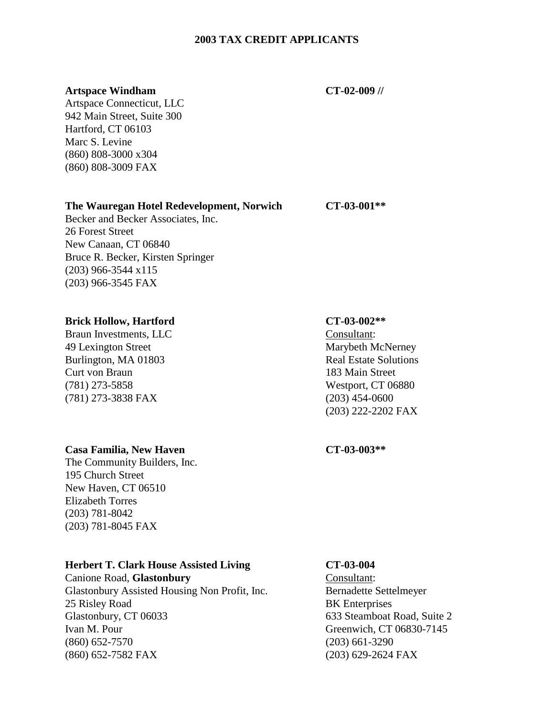## **2003 TAX CREDIT APPLICANTS**

### **Artspace Windham CT-02-009 //**

Artspace Connecticut, LLC 942 Main Street, Suite 300 Hartford, CT 06103 Marc S. Levine (860) 808-3000 x304 (860) 808-3009 FAX

### **The Wauregan Hotel Redevelopment, Norwich CT-03-001\*\***

Becker and Becker Associates, Inc. 26 Forest Street New Canaan, CT 06840 Bruce R. Becker, Kirsten Springer (203) 966-3544 x115 (203) 966-3545 FAX

### **Brick Hollow, Hartford CT-03-002\*\***

Braun Investments, LLC Consultant: 49 Lexington Street Marybeth McNerney Burlington, MA 01803 Real Estate Solutions Curt von Braun 183 Main Street (781) 273-5858 Westport, CT 06880 (781) 273-3838 FAX (203) 454-0600

### Casa Familia, New Haven **CT-03-003\*\***

The Community Builders, Inc. 195 Church Street New Haven, CT 06510 Elizabeth Torres (203) 781-8042 (203) 781-8045 FAX

### **Herbert T. Clark House Assisted Living CT-03-004**

Canione Road, **Glastonbury** Consultant: Glastonbury Assisted Housing Non Profit, Inc. Bernadette Settelmeyer 25 Risley Road BK Enterprises Glastonbury, CT 06033 633 Steamboat Road, Suite 2 Ivan M. Pour Greenwich, CT 06830-7145 (860) 652-7570 (203) 661-3290 (860) 652-7582 FAX (203) 629-2624 FAX

(203) 222-2202 FAX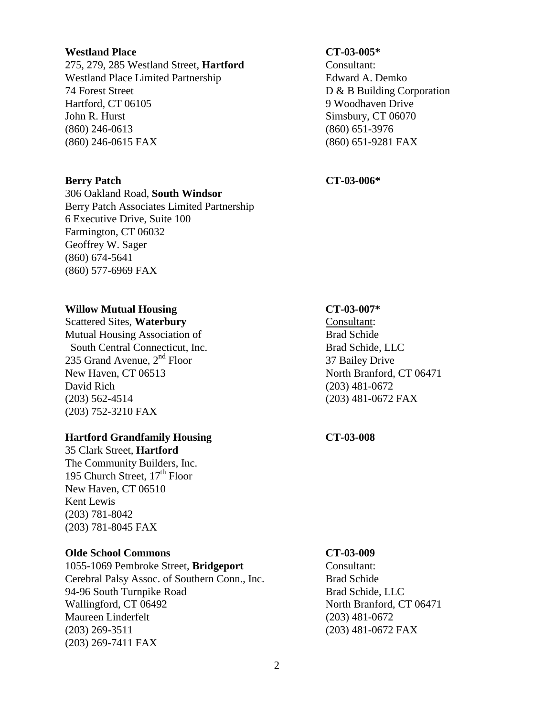### **Westland Place CT-03-005\***

275, 279, 285 Westland Street, **Hartford** Consultant: Westland Place Limited Partnership Edward A. Demko 74 Forest Street **D** & B Building Corporation Hartford, CT 06105 9 Woodhaven Drive John R. Hurst Simsbury, CT 06070 (860) 246-0613 (860) 651-3976 (860) 246-0615 FAX (860) 651-9281 FAX

306 Oakland Road, **South Windsor**

Berry Patch Associates Limited Partnership 6 Executive Drive, Suite 100 Farmington, CT 06032 Geoffrey W. Sager (860) 674-5641 (860) 577-6969 FAX

# Willow Mutual Housing CT-03-007\*

Scattered Sites, **Waterbury** Consultant: Mutual Housing Association of Brad Schide South Central Connecticut, Inc. Brad Schide, LLC 235 Grand Avenue,  $2<sup>nd</sup>$  Floor 37 Bailey Drive New Haven, CT 06513 North Branford, CT 06471 David Rich (203) 481-0672 (203) 562-4514 (203) 481-0672 FAX (203) 752-3210 FAX

# **Hartford Grandfamily Housing CT-03-008**

35 Clark Street, **Hartford** The Community Builders, Inc. 195 Church Street,  $17<sup>th</sup>$  Floor New Haven, CT 06510 Kent Lewis (203) 781-8042 (203) 781-8045 FAX

# **Olde School Commons CT-03-009**

1055-1069 Pembroke Street, **Bridgeport** Consultant: Cerebral Palsy Assoc. of Southern Conn., Inc. Brad Schide 94-96 South Turnpike Road Brad Schide, LLC Wallingford, CT 06492 North Branford, CT 06471 Maureen Linderfelt (203) 481-0672 (203) 269-3511 (203) 481-0672 FAX (203) 269-7411 FAX

## **Berry Patch CT-03-006\***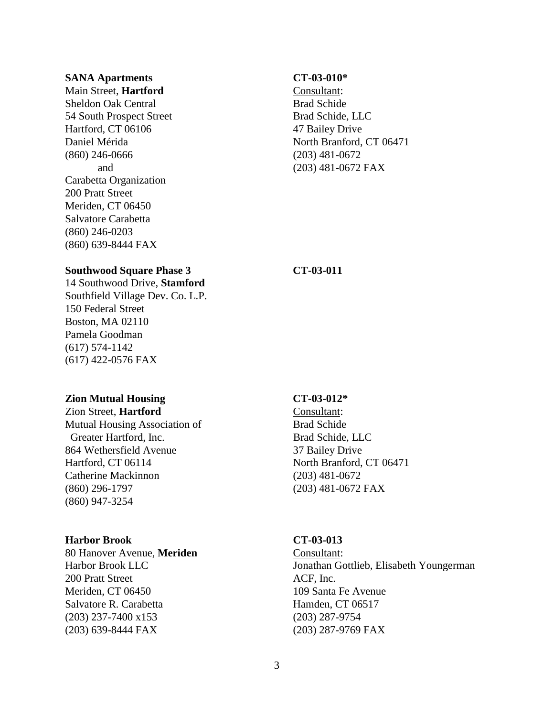### **SANA Apartments CT-03-010\***

Main Street, **Hartford** Consultant: Sheldon Oak Central Brad Schide 54 South Prospect Street Brad Schide, LLC Hartford, CT 06106 47 Bailey Drive (860) 246-0666 (203) 481-0672 Carabetta Organization 200 Pratt Street Meriden, CT 06450 Salvatore Carabetta (860) 246-0203 (860) 639-8444 FAX

Daniel Mérida North Branford, CT 06471 and (203) 481-0672 FAX

## **Southwood Square Phase 3 CT-03-011**

14 Southwood Drive, **Stamford** Southfield Village Dev. Co. L.P. 150 Federal Street Boston, MA 02110 Pamela Goodman (617) 574-1142 (617) 422-0576 FAX

## **Zion Mutual Housing CT-03-012\***

Zion Street, **Hartford** Consultant: Mutual Housing Association of Brad Schide Greater Hartford, Inc. Brad Schide, LLC 864 Wethersfield Avenue 37 Bailey Drive Hartford, CT 06114 North Branford, CT 06471 Catherine Mackinnon (203) 481-0672 (860) 296-1797 (203) 481-0672 FAX (860) 947-3254

## **Harbor Brook CT-03-013**

80 Hanover Avenue, **Meriden** Consultant: 200 Pratt Street ACF, Inc. Meriden, CT 06450 109 Santa Fe Avenue Salvatore R. Carabetta Hamden, CT 06517 (203) 237-7400 x153 (203) 287-9754 (203) 639-8444 FAX (203) 287-9769 FAX

Harbor Brook LLC Jonathan Gottlieb, Elisabeth Youngerman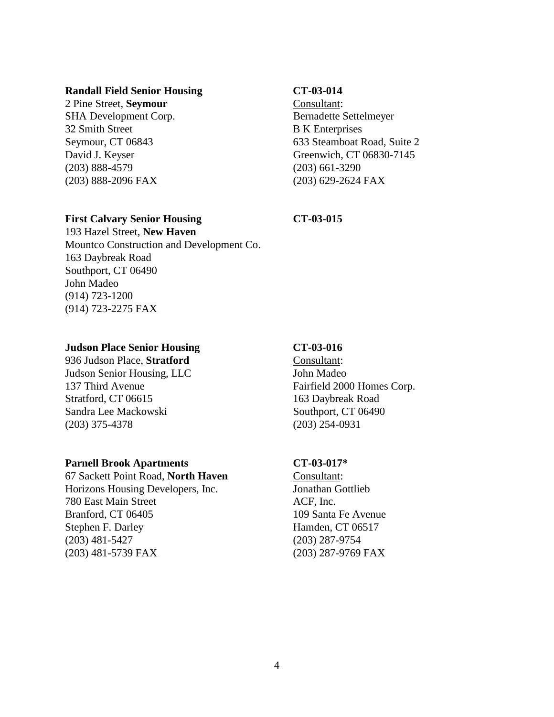### **Randall Field Senior Housing CT-03-014**

2 Pine Street, **Seymour** Consultant: SHA Development Corp. Bernadette Settelmeyer 32 Smith Street B K Enterprises (203) 888-4579 (203) 661-3290 (203) 888-2096 FAX (203) 629-2624 FAX

Seymour, CT 06843 633 Steamboat Road, Suite 2 David J. Keyser Greenwich, CT 06830-7145

# **First Calvary Senior Housing CT-03-015**

193 Hazel Street, **New Haven** Mountco Construction and Development Co. 163 Daybreak Road Southport, CT 06490 John Madeo (914) 723-1200 (914) 723-2275 FAX

## **Judson Place Senior Housing CT-03-016**

936 Judson Place, **Stratford** Consultant: Judson Senior Housing, LLC John Madeo 137 Third Avenue Fairfield 2000 Homes Corp. Stratford, CT 06615 163 Daybreak Road Sandra Lee Mackowski Southport, CT 06490 (203) 375-4378 (203) 254-0931

# **Parnell Brook Apartments** CT-03-017\*

67 Sackett Point Road, **North Haven** Consultant: Horizons Housing Developers, Inc. Jonathan Gottlieb 780 East Main Street ACF, Inc. Branford, CT 06405 109 Santa Fe Avenue Stephen F. Darley Hamden, CT 06517 (203) 481-5427 (203) 287-9754 (203) 481-5739 FAX (203) 287-9769 FAX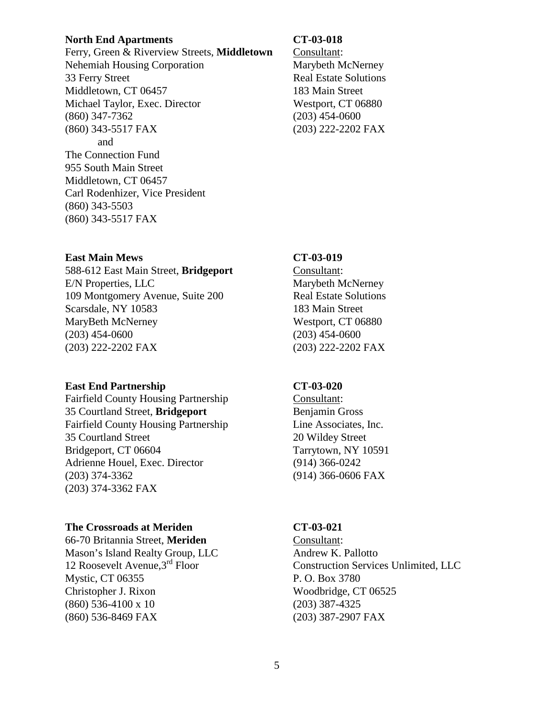## **North End Apartments CT-03-018**

Ferry, Green & Riverview Streets, **Middletown** Consultant: Nehemiah Housing Corporation Marybeth McNerney 33 Ferry Street Real Estate Solutions Middletown, CT 06457 183 Main Street Michael Taylor, Exec. Director Westport, CT 06880 (860) 347-7362 (203) 454-0600 (860) 343-5517 FAX (203) 222-2202 FAX and The Connection Fund 955 South Main Street Middletown, CT 06457 Carl Rodenhizer, Vice President (860) 343-5503 (860) 343-5517 FAX

### East Main Mews CT-03-019

588-612 East Main Street, **Bridgeport** Consultant: E/N Properties, LLC Marybeth McNerney 109 Montgomery Avenue, Suite 200 Real Estate Solutions Scarsdale, NY 10583 183 Main Street MaryBeth McNerney Westport, CT 06880 (203) 454-0600 (203) 454-0600 (203) 222-2202 FAX (203) 222-2202 FAX

### **East End Partnership CT-03-020**

Fairfield County Housing Partnership Consultant: 35 Courtland Street, **Bridgeport** Benjamin Gross Fairfield County Housing Partnership Line Associates, Inc. 35 Courtland Street 20 Wildey Street Bridgeport, CT 06604 Tarrytown, NY 10591 Adrienne Houel, Exec. Director (914) 366-0242 (203) 374-3362 (914) 366-0606 FAX (203) 374-3362 FAX

### The Crossroads at Meriden CT-03-021

66-70 Britannia Street, **Meriden** Consultant:

Mason's Island Realty Group, LLC Andrew K. Pallotto Mystic, CT 06355 P. O. Box 3780 Christopher J. Rixon Woodbridge, CT 06525 (860) 536-4100 x 10 (203) 387-4325 (860) 536-8469 FAX (203) 387-2907 FAX

12 Roosevelt Avenue,3rd Floor Construction Services Unlimited, LLC